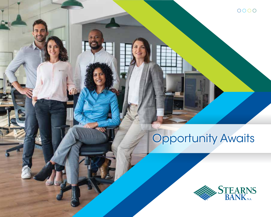# Opportunity Awaits

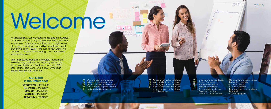

We are driven by our passion to help others achieve their greatest ambitions. *We Get The Job Done* with urgency, tenacity and unlimited imagination.

VISION We are an unrivaled trailblazer, most admired for our people, our imagination, our simplicity  $\overline{\phantom{a}}$  Business starts here and thrives here – we are the bank you can't live without.

**ALL LAND** 

**D** Sales Figures



- VALUES
	- Integrity and accountability
	- Sense of urgency
	- Employee ownership
	- Ambitious hard work
	- Surpassing expectations
	- Financial discipline
	- Proactive communication
- Community and family values
- Trailblazing creativity
- Common sense
- Culture of success
- Tenacious pursuit of excellence
- Teamwork
- Constant progress

Welcome

At Stearns Bank, we truly believe our people achieve the results, which is why we are fully invested in our employees. Open communication, a high sense of urgency and an incredible employee stock ownership plan (ESOP) are just a few ways we nurture a highly challenging and rewarding work environment.

With impressive benefits, incredible customers, ever-evolving products and inspiring leadership, it's no wonder Stearns Bank was named a 2021 Star Tribune Best Bank and a 2021 American Banker Best Bank to Work For.

### Our Norm is the Difference!

Exceptional is the Norm Relentless is the Norm **Strength** is the Norm Urgency is the Norm Creativity is the Norm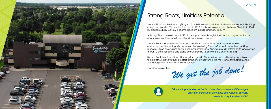Stearns Financial Service, Inc. (SFSI) is a \$2.4 billion well-capitalized, independent financial holding company based in Minnesota. Founded in 1912, the bank was acquired by Norm Skalicky in 1964. His daughter, Kelly Skalicky, became President in 2018 and CEO in 2019.

Although Norm passed away in 2021, his impact as a thoughtful leader, industry innovator, and generous philanthropist will be felt and appreciated always.

Stearns Bank is a full-service bank and a nationwide leader in small business lending and equipment financing. We are innovative in offering StearnsConnect, our online banking platform, which allows us to serve customers nationwide. And, we proudly offer face-to-face service at our 10 bank locations and stand by our promise to answer calls on the first ring.

Stearns Bank is well-positioned for long-term growth. We continue to be driven by our mission to help others achieve their greatest ambitions by delivering the most innovative, streamlined technology and unrivaled personal service.







# Strong Roots, Limitless Potential

*"Our employee owners are the backbone of our success and they inspire every day in pursuit of excellence and customer success."* -Kelly Skalicky, President & CEO

Our slogan says it all:<br>We get the job done!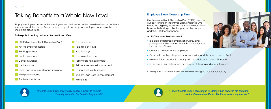# Taking Benefits to a Whole New Level

Happy employees are impactful employees. We are invested in the overall wellness of our team members and their future. See what sets us apart and why our employee owners say this is an incredible place to be.

- Paid sick time Paid time off (PTO)
- **Paid holidays**
- **Paid volunteer time**
- Family care reimbursement
- Self improvement reimbursement
- **Educational reimbursement**
- Student Loan Debt Reimbursement
- **Telehealth**

### To keep that healthy balance, Stearns Bank offers:



## Employee Stock Ownership Plan

Our Employee Stock Ownership Plan (ESOP) is one of our best long-term incentives. Each employee who meets the eligibility requirements is part-owner of the bank, while having a direct impact on the company and their ESOP performance.

### An ESOP is valuable because it...

- **I** Is a plan of deferred compensation, providing participants with stock in Stearns Financial Services, Inc. and its affiliates
- Comes at no cost to the employee
- 
- **Provides future economic security with an additional source of income**
- **If** Is not taxed until distributions are received following end of employment

Full vesting of the ESOP will take six years with incremental vesting (0%, 20%, 40%, 60%, 80%, 100%).



*"Stearns Bank makes it very easy to have a work/life balance... it's really evident in the benefits they provide."* 



*" I know Stearns Bank is investing in us. Being a part owner in the company itself motivates me – Stearns Bank's success is my success."* 



Grows with each participant's years of service and the success of the Bank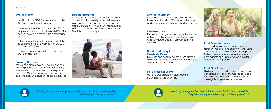*"Working here, you are always supported by an army of very knowledgeable people ready to help you succeed."* 



*"I love [our] management – I love that they are 'on the floor' and accessible. They bring out my enthusiasm, my qualities, my passion."* 



### 401(k) Match

In addition to an ESOP, Stearns Bank also offers a 401(k) plan with employer match.

- The bank will match 100% of the first 3% of employee's deferred election and 50% of the next 3% deferred election, with a maximum  $of 4.5%$
- **Full vesting of the employer match will take** six years with incremental vesting (0%, 20%, 40%, 60%, 80%, 100%)
- **Employees are always fully vested in their** own contributions

We support employees in using our personal banking services by waiving fees for checks, wire transfers, cashier's checks, money orders and more. We offer discounted gift card fees and rate discounts on loans to our employees.

### Banking Services

### Health Insurance

Stearns Bank provides a generous premium contribution to a variety of health insurance plan options. From traditional coverage to plans pairable with Health Savings Accounts (HSAs), plans fit the needs of our employees. Monthly costs vary by plan.



### Dental Insurance

Keep the smiles coming! We offer a dental insurance plan with 100% preventative care and competitive cost sharing and premiums.

### Life Insurance

Premium coverage for a group life insurance policy of 1½ times eligible employee's salary, with Accidental Death & Dismemberment (AD&D).

### Short- and Long-Term Disability Plans

Stay safe and healthy out there! We provide disability insurance to cover 60% of employees' salary, at no cost to them.

### Paid Medical Leave

Up to 12 weeks paid medical leave for FMLA-eligible occurrences.



### Paid Parental Leave

Taking adequate time to welcome new family members is a necessity. We offer up to 12 weeks of 100% paid maternity, adoption, foster care or surrogacy leave for primary care parents and up to 8 weeks leave for secondary care parents.

### Paid Sick Time

Eligible employees will accrue 10 sick days per calendar year for themselves or to care for family members. Part-time employees are eligible for pro-rated sick leave.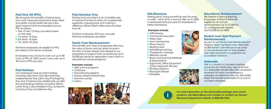### Paid Time Off (PTO)

We recognize the benefits of being away from work. Improved productivity, lower stress and better mental health are just a few great reasons full-time employees accrue PTO as follows:

- P Year of hire: 13 days, pro-rated based on hire date
- $\blacksquare$  1-4 vears: 13 days
- 5-9 years: 18 days
- $10+$  years: 23 days

Part-time employees are eligible for PTO pro-rated on the above schedule.

Employees may choose to cash out up to 80 hours of PTO at 100% and/or carry over up to 40 hours of PTO per year.

### Paid Holidays

Our employees have six paid holidays, including: New Year's Day, Memorial Day, Independence Day, Labor Day, Thanksgiving Day and Christmas Day. Additionally, we offer five paid floating holidays, including: Martin Luther King Jr. Day, President's Day, Junteenth, Columbus Day and Veterans Day.

### Paid Volunteer Time

Sharing time and talent is an incredible way to improve the lives of others. As a passionate supporter of giving back and making a difference, Stearns Bank offers paid volunteer time off.

Full-time employees: 32 hours, annually Part-time employees: pro-rated

We believe in lifelong learning. Employees of Stearns Bank are eligible for an annual reimbursement up to \$3,500 for an undergraduate degree and \$5,000 for an MBA.

### Family Care Reimbursement

The benefits don't stop at employees. We know the value of family and are driven to enrich the lives of those nearest and dearest to our employees. To support that, we reimburse up to \$5,000 per family for dependent care, tuition or educational camps/programs.

### Examples include:

- **After school programs**
- Childcare
- **Educational programs**
- School athletic/activity fees
- **Summer camps**
- $\blacksquare$  Tuition





### Self-Allowance

Feeling good, trying something new, focusing on skills – we're all for it and we offer up to \$500 in reimbursements per year for employees to better themselves.

### Examples include:

- **CPR** training
- Community education
- Green fees
- Gym membership
- **Music lessons**
- **Quilting class**
- **Self-defense training**
- **Therapeutic massage**
- **Wellness course**
- **Books and Learning Materials** & Subscriptions
- **Expression Expression Expansion Expansion Expansion Expansion Expansion Expansion Expansion Expansion Expansion Expansion Expansion Expansion Expansion Expansion Expansion Expansion Expansion Expansion Expansion Expansion** (Chair, Keyboard, Mouse)
- Sit/Stand Stations
- **Blue-Light Glasses**
- **Headsets**



### Educational Reimbursement

### Student Loan Debt Payment Reimbursement:

As part of our Family Care Reimbursement Program, team members may utilize their \$5,000 Family Care Allowance as a tool for the reimbursement of their student loan debt payments incurred from an accredited institution.

### Telehealth:



Talk to a doctor or counselor anytime, anywhere by mobile app, web, or phone. Our Telehealth benefit offers the convenient treatment of many non-emergency, everyday conditions to help you feel better, faster. This benefit is available at no cost to our team members.

For more information on the full benefits package and current positions, visit StearnsBank.com/careers or contact our Human Resources Department directly at 800-320-7262.





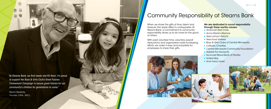When we share the gifts of time, talent and treasure, the ripple effect is unstoppable. At Stearns Bank, a commitment to community responsibility drives us to do more for the good of others.

### We are dedicated to social responsibility through these worthy causes:

- **American Red Cross**
- **Anna Marie's Alliance**
- **Area school districts**
- Area food shelves
- **Boys & Girls Clubs of Central Minnesota**
- Catholic Charities
- **Central Minnesota Community Foundation**
- **Habitat For Humanity**
- Suncoast Blood Bank of Florida
- 
- 

With paid volunteer time, voluntary payroll deductions and organization-wide fundraising efforts, we make it easy and enjoyable for employees to share their gifts.



### $OOOO$

- 
- 

# Community Responsibility at Stearns Bank

*"At Stearns Bank, we find needs and fill them. I'm proud to support the Boys & Girls Club's Great Futures Endowment Campaign to secure great futures for our community's children for generations to come."*

 -Norm Skalicky, Founder (1934 - 2021)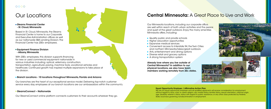### **Stearns Financial Center** - St. Cloud, Minnesota

### **Equipment Finance Division** - Albany, Minnesota

Based in St. Cloud, Minnesota, the Stearns Financial Center is home to our Corporate and Executive Administration offices as well as our nationwide SBA Lending Division. The Financial Center has 200+ employees.

With 200+ employees, this division supports financing for new or used commercial equipment nationwide in various industries including: optical, veterinary, construction, transportation, agricultural, paving, machine tools, vocational vehicles and healthcare. Continued growth has inspired multiple expansions to take place at the division.

### **Branch Locations - 10 locations throughout Minnesota, Florida and Arizona**

Our branches are the heart of our exceptional service model. Delivering top-notch customer service every day, employees at our branch locations are our ambassadors within the community.

### ■ StearnsConnect – Nationwide

Our StearnsConnect online platform connects customers to their accounts wherever they go.

# Ą,

# Our Locations

We are an equal opportunity employer and all qualified applicants will receive consideration for employment without regard to race, color, or creed, religion, sex, marital status, familial status, sexual orientation, national origin, age, disability, veteran's status, status with regard to public assistance, or any other class protected by Federal,

Our Minnesota locations, including our corporate office, are well within reach of both urban activities and the peace and quiet of the great outdoors. Enjoy the many amenities Minnesota offers, including: Quality public and private schools **Higher education opportunities Expansive medical services** ■ Convenient access to Interstate 94, the Twin Cities and northern Minnesota/lakes/great outdoors Arts, entertainment and dining options Diverse retail and grocery options A strong transportation system members working remotely from 20+ states.

- 
- 
- 
- 
- 
- 
- 

Already love where you live outside of Central Minnesota? In addition to our physical locations, we also have team

# Equal Opportunity Employer / Affirmative Action Plan State, local laws governing nondiscrimination in employment.

# Central Minnesota: A Great Place to Live and Work